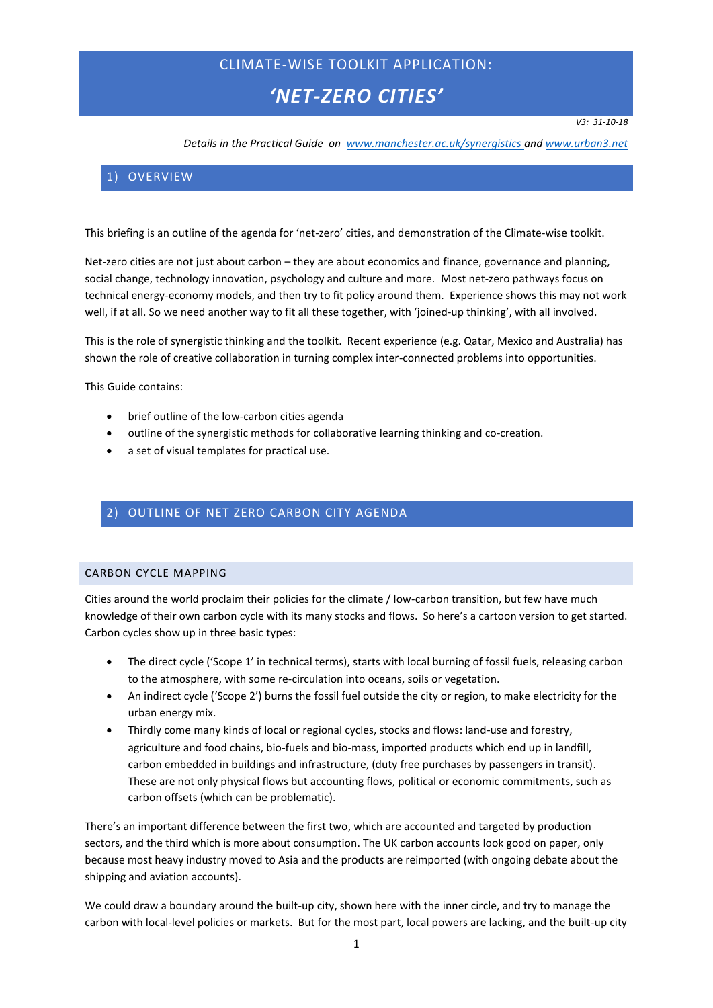# CLIMATE-WISE TOOLKIT APPLICATION:

# *'NET-ZERO CITIES'*

*V3: 31-10-18*

*Details in the Practical Guide on [www.manchester.ac.uk/synergistics](http://www.manchester.ac.uk/synergistics) an[d www.urban3.net](http://www.urban3.net/)*

# 1) OVERVIEW

This briefing is an outline of the agenda for 'net-zero' cities, and demonstration of the Climate-wise toolkit.

Net-zero cities are not just about carbon – they are about economics and finance, governance and planning, social change, technology innovation, psychology and culture and more. Most net-zero pathways focus on technical energy-economy models, and then try to fit policy around them. Experience shows this may not work well, if at all. So we need another way to fit all these together, with 'joined-up thinking', with all involved.

This is the role of synergistic thinking and the toolkit. Recent experience (e.g. Qatar, Mexico and Australia) has shown the role of creative collaboration in turning complex inter-connected problems into opportunities.

This Guide contains:

- brief outline of the low-carbon cities agenda
- outline of the synergistic methods for collaborative learning thinking and co-creation.
- a set of visual templates for practical use.

### 2) OUTLINE OF NET ZERO CARBON CITY AGENDA

### CARBON CYCLE MAPPING

Cities around the world proclaim their policies for the climate / low-carbon transition, but few have much knowledge of their own carbon cycle with its many stocks and flows. So here's a cartoon version to get started. Carbon cycles show up in three basic types:

- The direct cycle ('Scope 1' in technical terms), starts with local burning of fossil fuels, releasing carbon to the atmosphere, with some re-circulation into oceans, soils or vegetation.
- An indirect cycle ('Scope 2') burns the fossil fuel outside the city or region, to make electricity for the urban energy mix.
- Thirdly come many kinds of local or regional cycles, stocks and flows: land-use and forestry, agriculture and food chains, bio-fuels and bio-mass, imported products which end up in landfill, carbon embedded in buildings and infrastructure, (duty free purchases by passengers in transit). These are not only physical flows but accounting flows, political or economic commitments, such as carbon offsets (which can be problematic).

There's an important difference between the first two, which are accounted and targeted by production sectors, and the third which is more about consumption. The UK carbon accounts look good on paper, only because most heavy industry moved to Asia and the products are reimported (with ongoing debate about the shipping and aviation accounts).

We could draw a boundary around the built-up city, shown here with the inner circle, and try to manage the carbon with local-level policies or markets. But for the most part, local powers are lacking, and the built-up city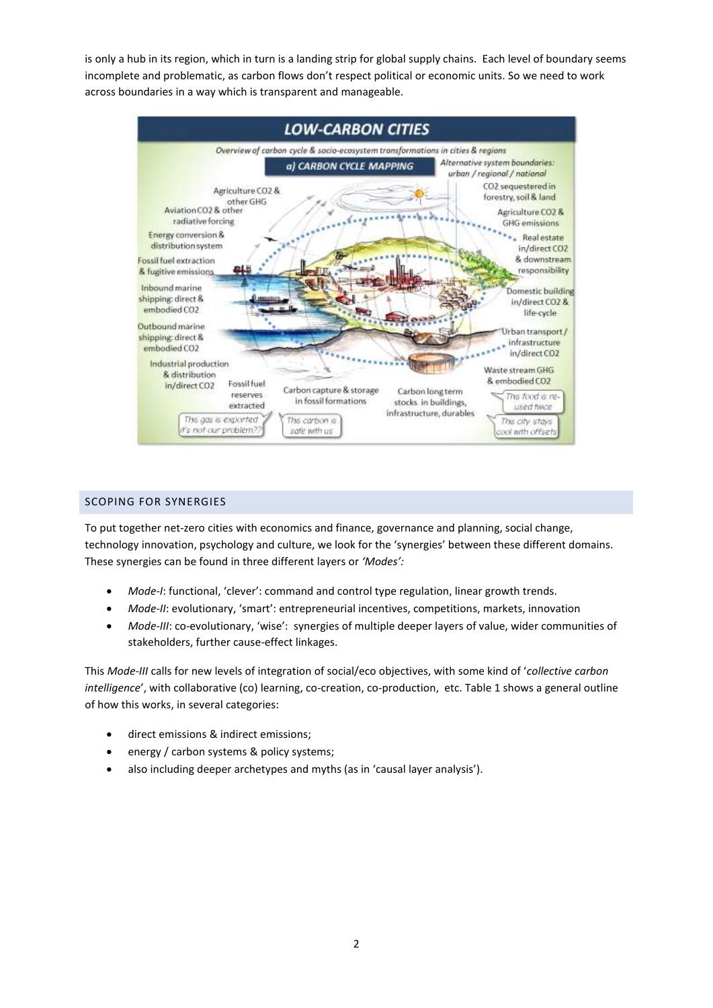is only a hub in its region, which in turn is a landing strip for global supply chains. Each level of boundary seems incomplete and problematic, as carbon flows don't respect political or economic units. So we need to work across boundaries in a way which is transparent and manageable.



### SCOPING FOR SYNERGIES

To put together net-zero cities with economics and finance, governance and planning, social change, technology innovation, psychology and culture, we look for the 'synergies' between these different domains. These synergies can be found in three different layers or *'Modes':*

- *Mode-I*: functional, 'clever': command and control type regulation, linear growth trends.
- *Mode-II*: evolutionary, 'smart': entrepreneurial incentives, competitions, markets, innovation
- *Mode-III*: co-evolutionary, 'wise': synergies of multiple deeper layers of value, wider communities of stakeholders, further cause-effect linkages.

This *Mode-III* calls for new levels of integration of social/eco objectives, with some kind of '*collective carbon intelligence*', with collaborative (co) learning, co-creation, co-production, etc. Table 1 shows a general outline of how this works, in several categories:

- direct emissions & indirect emissions;
- energy / carbon systems & policy systems;
- also including deeper archetypes and myths (as in 'causal layer analysis').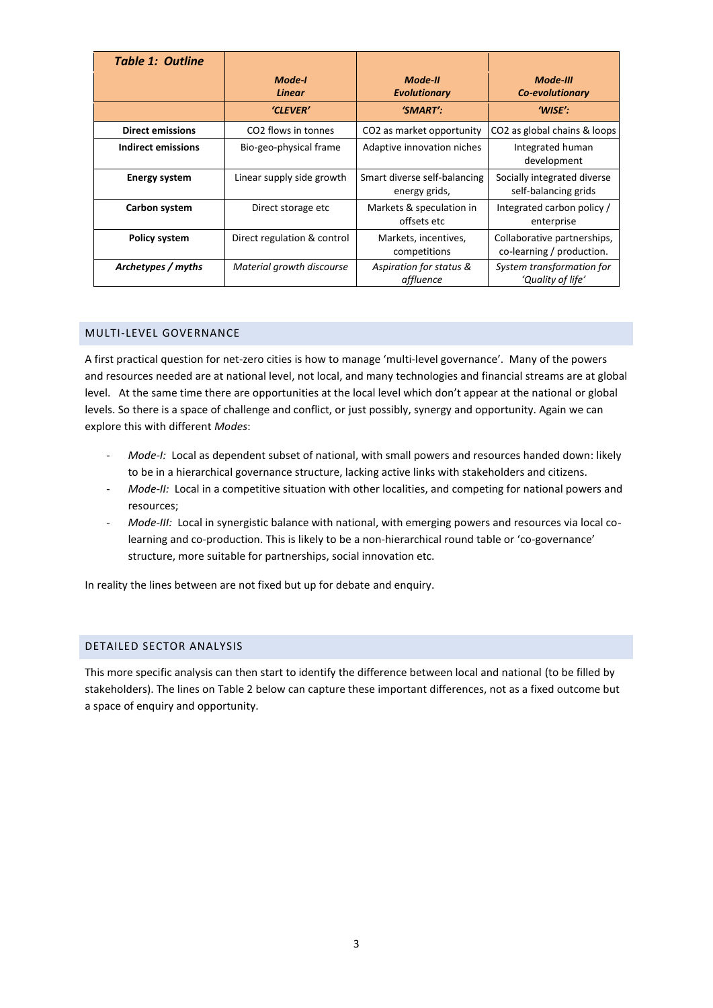| <b>Table 1: Outline</b> |                                 |                                               |                                                          |
|-------------------------|---------------------------------|-----------------------------------------------|----------------------------------------------------------|
|                         | Mode-I<br><b>Linear</b>         | Mode-II<br><b>Evolutionary</b>                | Mode-III<br>Co-evolutionary                              |
|                         | 'CLEVER'                        | $'SMART'$ :                                   | 'WISE':                                                  |
| <b>Direct emissions</b> | CO <sub>2</sub> flows in tonnes | CO <sub>2</sub> as market opportunity         | CO <sub>2</sub> as global chains & loops                 |
| Indirect emissions      | Bio-geo-physical frame          | Adaptive innovation niches                    | Integrated human<br>development                          |
| <b>Energy system</b>    | Linear supply side growth       | Smart diverse self-balancing<br>energy grids, | Socially integrated diverse<br>self-balancing grids      |
| Carbon system           | Direct storage etc              | Markets & speculation in<br>offsets etc       | Integrated carbon policy /<br>enterprise                 |
| <b>Policy system</b>    | Direct regulation & control     | Markets, incentives,<br>competitions          | Collaborative partnerships,<br>co-learning / production. |
| Archetypes / myths      | Material growth discourse       | Aspiration for status &<br>affluence          | System transformation for<br>'Quality of life'           |

### MULTI-LEVEL GOVERNANCE

A first practical question for net-zero cities is how to manage 'multi-level governance'. Many of the powers and resources needed are at national level, not local, and many technologies and financial streams are at global level. At the same time there are opportunities at the local level which don't appear at the national or global levels. So there is a space of challenge and conflict, or just possibly, synergy and opportunity. Again we can explore this with different *Modes*:

- Mode-I: Local as dependent subset of national, with small powers and resources handed down: likely to be in a hierarchical governance structure, lacking active links with stakeholders and citizens.
- *Mode-II:* Local in a competitive situation with other localities, and competing for national powers and resources;
- *Mode-III:* Local in synergistic balance with national, with emerging powers and resources via local colearning and co-production. This is likely to be a non-hierarchical round table or 'co-governance' structure, more suitable for partnerships, social innovation etc.

In reality the lines between are not fixed but up for debate and enquiry.

#### DETAILED SECTOR ANALYSIS

This more specific analysis can then start to identify the difference between local and national (to be filled by stakeholders). The lines on Table 2 below can capture these important differences, not as a fixed outcome but a space of enquiry and opportunity.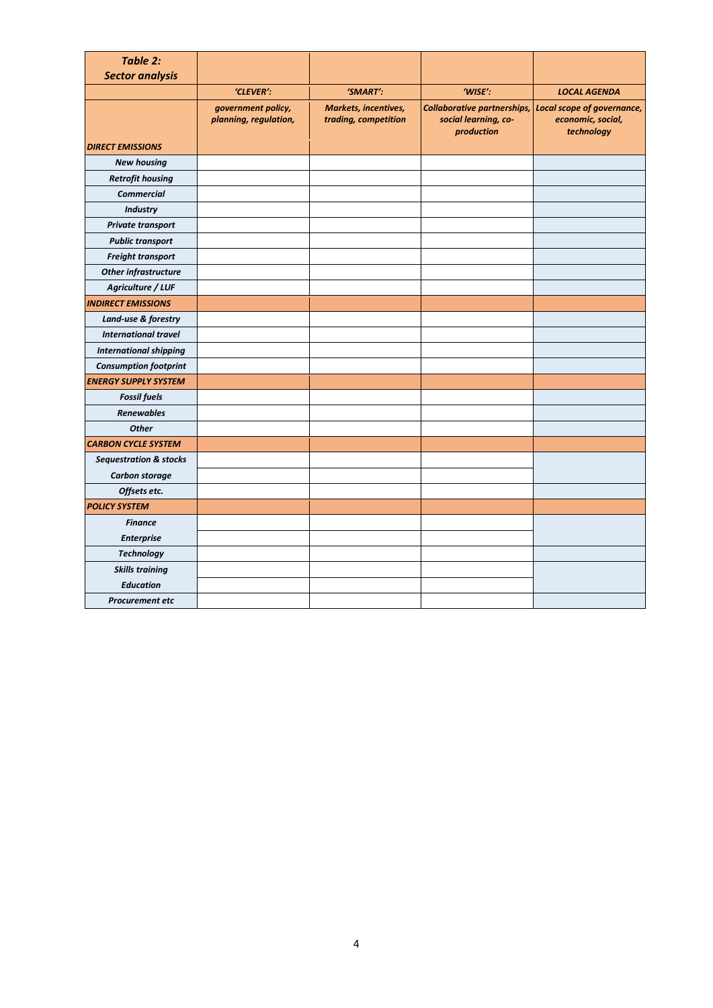| <b>Table 2:</b>                   |                                             |                                                     |                                                                          |                                                               |
|-----------------------------------|---------------------------------------------|-----------------------------------------------------|--------------------------------------------------------------------------|---------------------------------------------------------------|
| <b>Sector analysis</b>            |                                             |                                                     |                                                                          |                                                               |
|                                   | 'CLEVER':                                   | 'SMART':                                            | 'WISE':                                                                  | <b>LOCAL AGENDA</b>                                           |
|                                   | government policy,<br>planning, regulation, | <b>Markets, incentives,</b><br>trading, competition | <b>Collaborative partnerships,</b><br>social learning, co-<br>production | Local scope of governance,<br>economic, social,<br>technology |
| <b>DIRECT EMISSIONS</b>           |                                             |                                                     |                                                                          |                                                               |
| <b>New housing</b>                |                                             |                                                     |                                                                          |                                                               |
| <b>Retrofit housing</b>           |                                             |                                                     |                                                                          |                                                               |
| <b>Commercial</b>                 |                                             |                                                     |                                                                          |                                                               |
| <b>Industry</b>                   |                                             |                                                     |                                                                          |                                                               |
| Private transport                 |                                             |                                                     |                                                                          |                                                               |
| <b>Public transport</b>           |                                             |                                                     |                                                                          |                                                               |
| Freight transport                 |                                             |                                                     |                                                                          |                                                               |
| <b>Other infrastructure</b>       |                                             |                                                     |                                                                          |                                                               |
| Agriculture / LUF                 |                                             |                                                     |                                                                          |                                                               |
| <b>INDIRECT EMISSIONS</b>         |                                             |                                                     |                                                                          |                                                               |
| Land-use & forestry               |                                             |                                                     |                                                                          |                                                               |
| <b>International travel</b>       |                                             |                                                     |                                                                          |                                                               |
| <b>International shipping</b>     |                                             |                                                     |                                                                          |                                                               |
| <b>Consumption footprint</b>      |                                             |                                                     |                                                                          |                                                               |
| <b>ENERGY SUPPLY SYSTEM</b>       |                                             |                                                     |                                                                          |                                                               |
| <b>Fossil fuels</b>               |                                             |                                                     |                                                                          |                                                               |
| <b>Renewables</b>                 |                                             |                                                     |                                                                          |                                                               |
| <b>Other</b>                      |                                             |                                                     |                                                                          |                                                               |
| <b>CARBON CYCLE SYSTEM</b>        |                                             |                                                     |                                                                          |                                                               |
| <b>Sequestration &amp; stocks</b> |                                             |                                                     |                                                                          |                                                               |
| Carbon storage                    |                                             |                                                     |                                                                          |                                                               |
| Offsets etc.                      |                                             |                                                     |                                                                          |                                                               |
| <b>POLICY SYSTEM</b>              |                                             |                                                     |                                                                          |                                                               |
| <b>Finance</b>                    |                                             |                                                     |                                                                          |                                                               |
| <b>Enterprise</b>                 |                                             |                                                     |                                                                          |                                                               |
| <b>Technology</b>                 |                                             |                                                     |                                                                          |                                                               |
| <b>Skills training</b>            |                                             |                                                     |                                                                          |                                                               |
| <b>Education</b>                  |                                             |                                                     |                                                                          |                                                               |
| Procurement etc                   |                                             |                                                     |                                                                          |                                                               |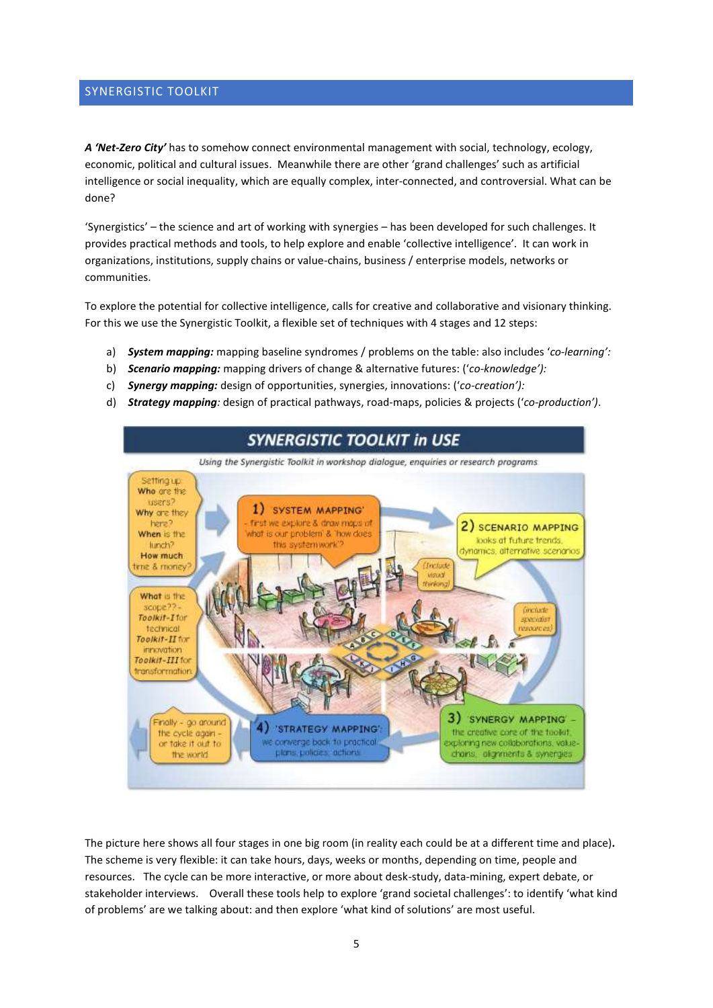### SYNERGISTIC TOOLKIT

*A 'Net-Zero City'* has to somehow connect environmental management with social, technology, ecology, economic, political and cultural issues. Meanwhile there are other 'grand challenges' such as artificial intelligence or social inequality, which are equally complex, inter-connected, and controversial. What can be done?

'Synergistics' – the science and art of working with synergies – has been developed for such challenges. It provides practical methods and tools, to help explore and enable 'collective intelligence'. It can work in organizations, institutions, supply chains or value-chains, business / enterprise models, networks or communities.

To explore the potential for collective intelligence, calls for creative and collaborative and visionary thinking. For this we use the Synergistic Toolkit, a flexible set of techniques with 4 stages and 12 steps:

- a) *System mapping:* mapping baseline syndromes / problems on the table: also includes '*co-learning':*
- b) *Scenario mapping:* mapping drivers of change & alternative futures: ('*co-knowledge'):*
- c) *Synergy mapping:* design of opportunities, synergies, innovations: ('*co-creation'):*
- d) *Strategy mapping:* design of practical pathways, road-maps, policies & projects ('*co-production')*.



The picture here shows all four stages in one big room (in reality each could be at a different time and place)**.**  The scheme is very flexible: it can take hours, days, weeks or months, depending on time, people and resources. The cycle can be more interactive, or more about desk-study, data-mining, expert debate, or stakeholder interviews. Overall these tools help to explore 'grand societal challenges': to identify 'what kind of problems' are we talking about: and then explore 'what kind of solutions' are most useful.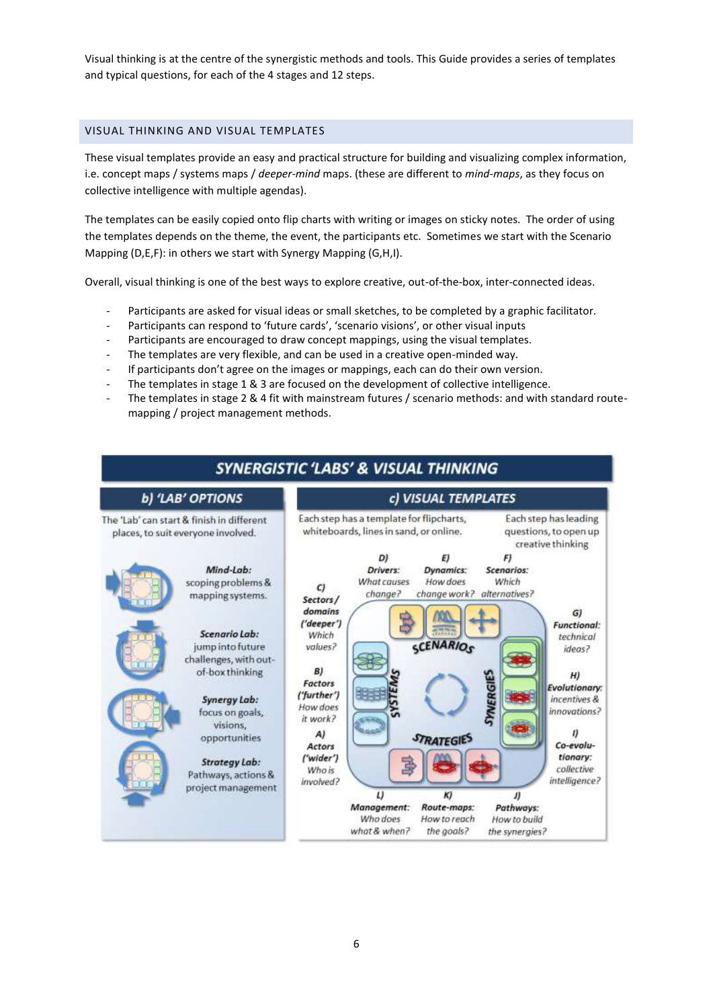Visual thinking is at the centre of the synergistic methods and tools. This Guide provides a series of templates and typical questions, for each of the 4 stages and 12 steps.

### VISUAL THINKING AND VISUAL TEMPLATES

These visual templates provide an easy and practical structure for building and visualizing complex information, i.e. concept maps / systems maps / *deeper-mind* maps. (these are different to *mind-maps*, as they focus on collective intelligence with multiple agendas).

The templates can be easily copied onto flip charts with writing or images on sticky notes. The order of using the templates depends on the theme, the event, the participants etc. Sometimes we start with the Scenario Mapping (D,E,F): in others we start with Synergy Mapping (G,H,I).

Overall, visual thinking is one of the best ways to explore creative, out-of-the-box, inter-connected ideas.

- Participants are asked for visual ideas or small sketches, to be completed by a graphic facilitator.
- Participants can respond to 'future cards', 'scenario visions', or other visual inputs
- Participants are encouraged to draw concept mappings, using the visual templates.
- The templates are very flexible, and can be used in a creative open-minded way.
- If participants don't agree on the images or mappings, each can do their own version.
- The templates in stage 1 & 3 are focused on the development of collective intelligence.
- The templates in stage 2 & 4 fit with mainstream futures / scenario methods: and with standard routemapping / project management methods.

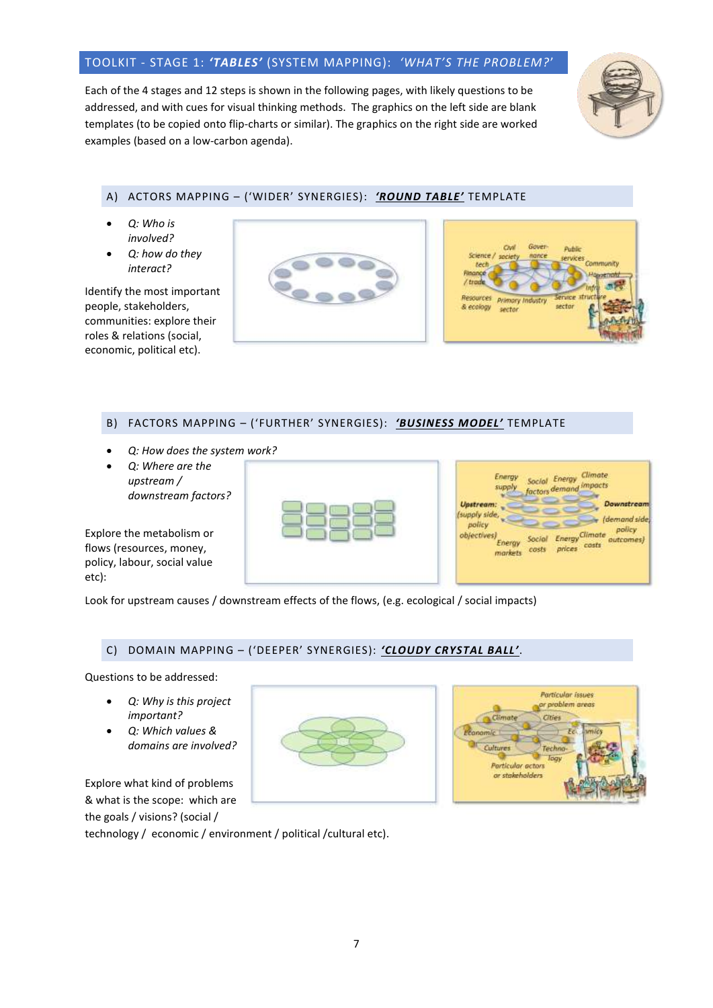# TOOLKIT - STAGE 1: *'TABLES'* (SYSTEM MAPPING): *'WHAT'S THE PROBLEM?*'

Each of the 4 stages and 12 steps is shown in the following pages, with likely questions to be addressed, and with cues for visual thinking methods. The graphics on the left side are blank templates (to be copied onto flip-charts or similar). The graphics on the right side are worked examples (based on a low-carbon agenda).



### A) ACTORS MAPPING – ('WIDER' SYNERGIES): *'ROUND TABLE'* TEMPLATE

- *Q: Who is involved?*
- *Q: how do they interact?*

Identify the most important people, stakeholders, communities: explore their roles & relations (social, economic, political etc).





### B) FACTORS MAPPING – ('FURTHER' SYNERGIES): *'BUSINESS MODEL'* TEMPLATE

- *Q: How does the system work?*
- *Q: Where are the upstream / downstream factors?*

Explore the metabolism or flows (resources, money, policy, labour, social value etc):

| and a series of the series<br>-2<br>×<br>×<br>ĭ<br>٠<br><b>Service Control</b> | <b>SCHOOL</b><br>$-20 - 4$<br>۰ |
|--------------------------------------------------------------------------------|---------------------------------|
|                                                                                |                                 |

| Energy<br>supply                                            |                 | Social Energy<br>factors demand impacts | <b>Climate</b> |                                      |
|-------------------------------------------------------------|-----------------|-----------------------------------------|----------------|--------------------------------------|
| <b>Upstream:</b>                                            |                 |                                         |                | Downstream                           |
| (supply side,<br>policy<br>objectives)<br>Energy<br>markets | Social<br>costs | <b>Energy Climate</b><br>prices costs   |                | (demand side)<br>policy<br>outcomes) |

Look for upstream causes / downstream effects of the flows, (e.g. ecological / social impacts)

### C) DOMAIN MAPPING – ('DEEPER' SYNERGIES): *'CLOUDY CRYSTAL BALL'*.

Questions to be addressed:

- *Q: Why is this project important?*
- *Q: Which values & domains are involved?*

Explore what kind of problems & what is the scope: which are the goals / visions? (social /

technology / economic / environment / political /cultural etc).



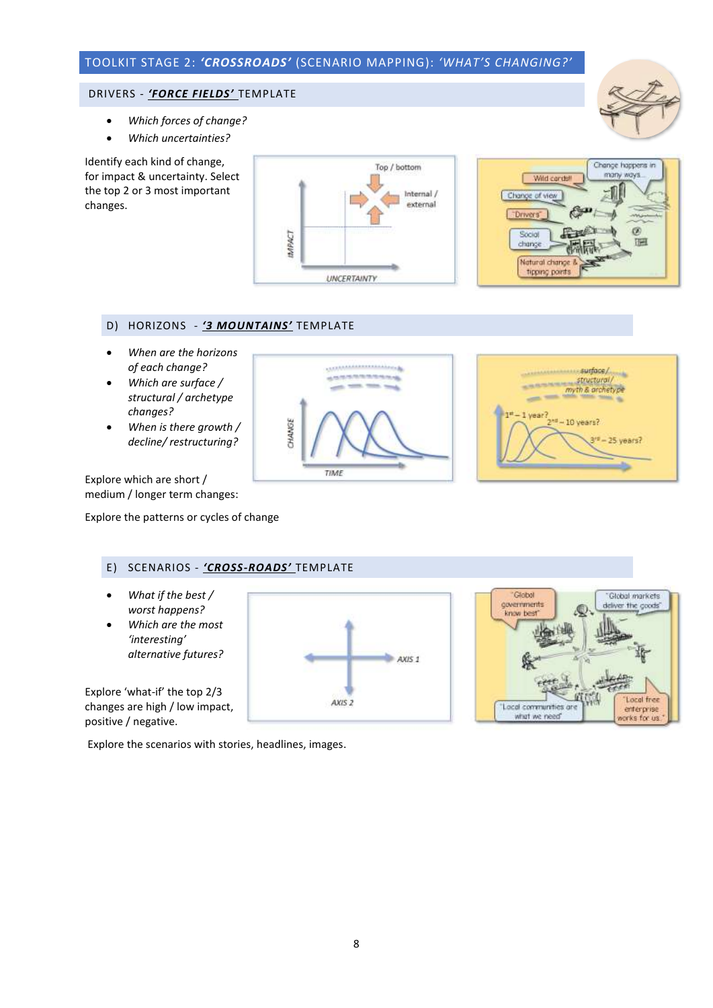# TOOLKIT STAGE 2: *'CROSSROADS'* (SCENARIO MAPPING): *'WHAT'S CHANGING?'*

### DRIVERS - *'FORCE FIELDS'* TEMPLATE

- *Which forces of change?*
- *Which uncertainties?*

Identify each kind of change, for impact & uncertainty. Select the top 2 or 3 most important changes.





# D) HORIZONS - *'3 MOUNTAINS'* TEMPLATE

- *When are the horizons of each change?*
- *Which are surface / structural / archetype changes?*
- *When is there growth / decline/ restructuring?*





Explore which are short / medium / longer term changes:

Explore the patterns or cycles of change

### E) SCENARIOS - *'CROSS-ROADS'* TEMPLATE

- *What if the best / worst happens?*
- *Which are the most 'interesting' alternative futures?*

Explore 'what-if' the top 2/3 changes are high / low impact, positive / negative.

Explore the scenarios with stories, headlines, images.





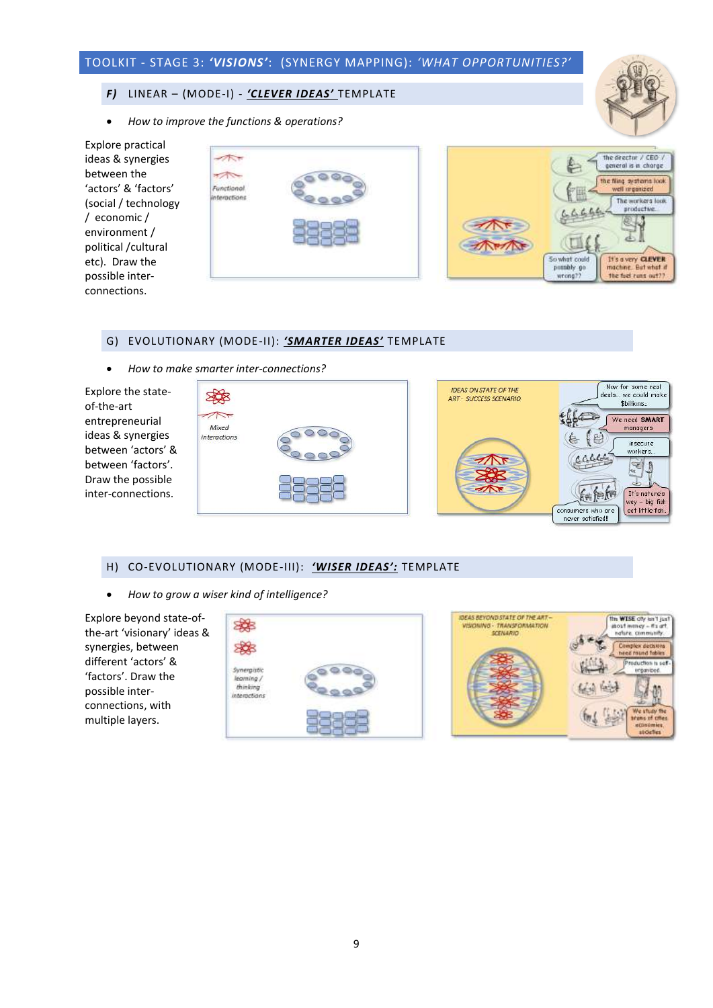# TOOLKIT - STAGE 3: *'VISIONS'*: (SYNERGY MAPPING): *'WHAT OPPORTUNITIES?'*

### *F)* LINEAR – (MODE-I) - *'CLEVER IDEAS'* TEMPLATE

• *How to improve the functions & operations?*



of-the-art



### G) EVOLUTIONARY (MODE-II): *'SMARTER IDEAS'* TEMPLATE

• *How to make smarter inter-connections?*



### H) CO-EVOLUTIONARY (MODE-III): *'WISER IDEAS':* TEMPLATE

• *How to grow a wiser kind of intelligence?*

Explore beyond state-ofthe-art 'visionary' ideas & synergies, between different 'actors' & 'factors'. Draw the possible interconnections, with multiple layers.





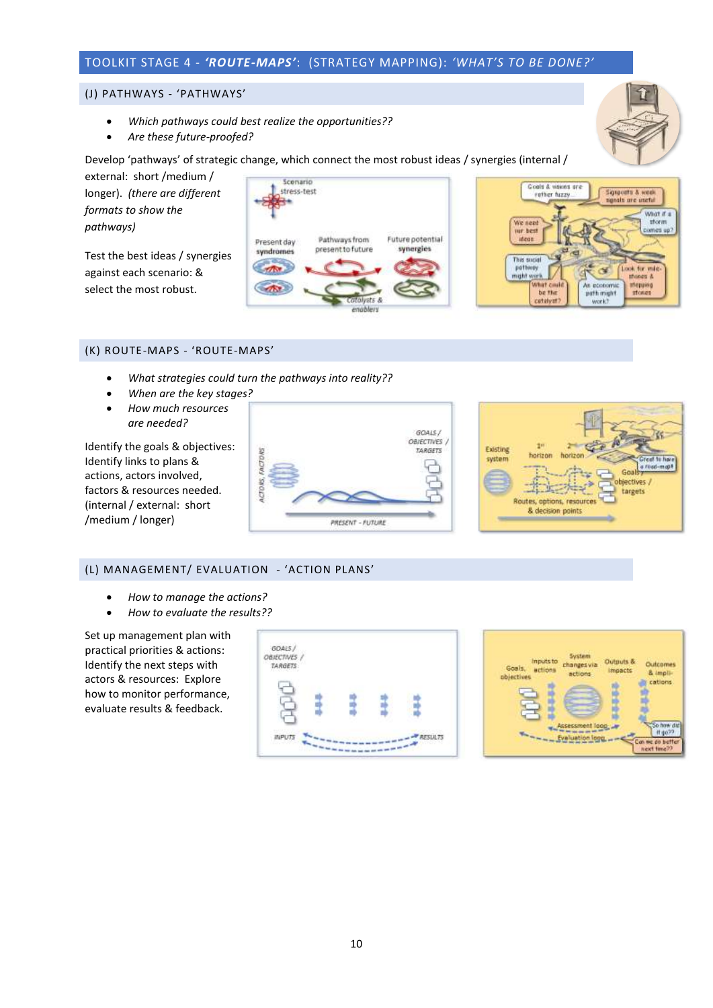# TOOLKIT STAGE 4 - *'ROUTE-MAPS'*: (STRATEGY MAPPING): *'WHAT'S TO BE DONE?'*

#### (J) PATHWAYS - 'PATHWAYS'

- *Which pathways could best realize the opportunities??*
- *Are these future-proofed?*

Develop 'pathways' of strategic change, which connect the most robust ideas / synergies (internal /

external: short /medium / longer). *(there are different formats to show the pathways)*

Test the best ideas / synergies against each scenario: & select the most robust.





### (K) ROUTE-MAPS - 'ROUTE-MAPS'

- *What strategies could turn the pathways into reality??*
- *When are the key stages?*
- *How much resources are needed?*

Identify the goals & objectives: Identify links to plans & actions, actors involved, factors & resources needed. (internal / external: short /medium / longer)





### (L) MANAGEMENT/ EVALUATION - 'ACTION PLANS'

- *How to manage the actions?*
- *How to evaluate the results??*

Set up management plan with practical priorities & actions: Identify the next steps with actors & resources: Explore how to monitor performance, evaluate results & feedback.

| GOALS/<br>OBJECTIVES /<br>TARGETS: |  |          |
|------------------------------------|--|----------|
|                                    |  |          |
|                                    |  |          |
| WPUTS                              |  | RESLALTS |

| Inputs to<br>Goals,<br>actions<br><i><b>abjectives</b></i> | <b>System</b><br>changes via<br>actions. | Outputs &<br><b>Impacts</b> | <b>Outcomes</b><br>& impli-<br>cations. |
|------------------------------------------------------------|------------------------------------------|-----------------------------|-----------------------------------------|
|                                                            | Assessment loop<br>valuation loop        |                             | Con me do better<br>next time??         |